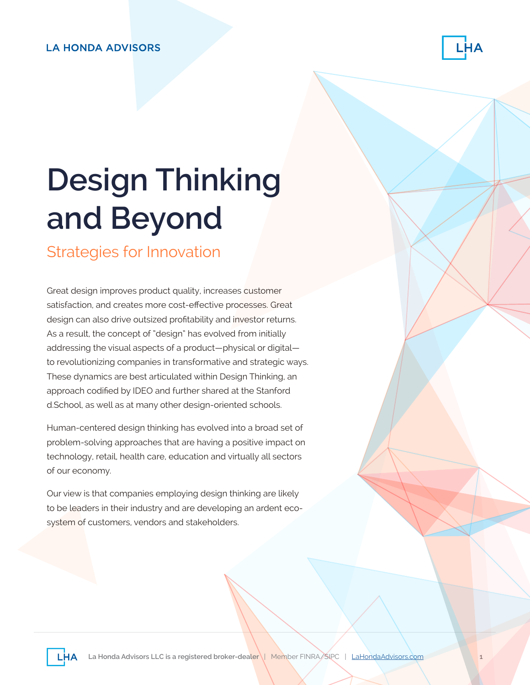#### **LA HONDA ADVISORS**



# **Design Thinking and Beyond**

#### Strategies for Innovation

Great design improves product quality, increases customer satisfaction, and creates more cost-effective processes. Great design can also drive outsized profitability and investor returns. As a result, the concept of "design" has evolved from initially addressing the visual aspects of a product—physical or digital to revolutionizing companies in transformative and strategic ways. These dynamics are best articulated within Design Thinking, an approach codified by IDEO and further shared at the Stanford d.School, as well as at many other design-oriented schools.

Human-centered design thinking has evolved into a broad set of problem-solving approaches that are having a positive impact on technology, retail, health care, education and virtually all sectors of our economy.

Our view is that companies employing design thinking are likely to be leaders in their industry and are developing an ardent ecosystem of customers, vendors and stakeholders.

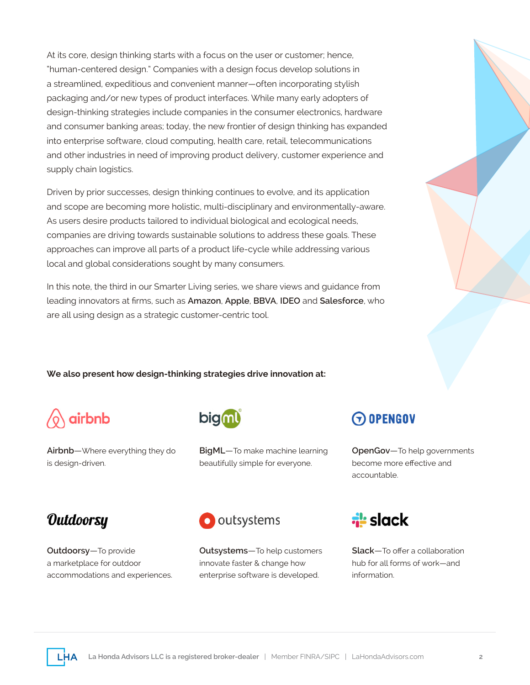At its core, design thinking starts with a focus on the user or customer; hence, "human-centered design." Companies with a design focus develop solutions in a streamlined, expeditious and convenient manner—often incorporating stylish packaging and/or new types of product interfaces. While many early adopters of design-thinking strategies include companies in the consumer electronics, hardware and consumer banking areas; today, the new frontier of design thinking has expanded into enterprise software, cloud computing, health care, retail, telecommunications and other industries in need of improving product delivery, customer experience and supply chain logistics.

Driven by prior successes, design thinking continues to evolve, and its application and scope are becoming more holistic, multi-disciplinary and environmentally-aware. As users desire products tailored to individual biological and ecological needs, companies are driving towards sustainable solutions to address these goals. These approaches can improve all parts of a product life-cycle while addressing various local and global considerations sought by many consumers.

In this note, the third in our Smarter Living series, we share views and guidance from leading innovators at firms, such as **Amazon**, **Apple**, **BBVA**, **IDEO** and **Salesforce**, who are all using design as a strategic customer-centric tool.

**We also present how design-thinking strategies drive innovation at:**



**Airbnb**—Where everything they do is design-driven.



**BigML**—To make machine learning beautifully simple for everyone.

 $\Theta$  opengov

**OpenGov**—To help governments become more effective and accountable.

#### Outdoorsy

**Outdoorsy**—To provide a marketplace for outdoor accommodations and experiences.



**Outsystems**—To help customers innovate faster & change how enterprise software is developed.



**Slack**—To offer a collaboration hub for all forms of work—and information.

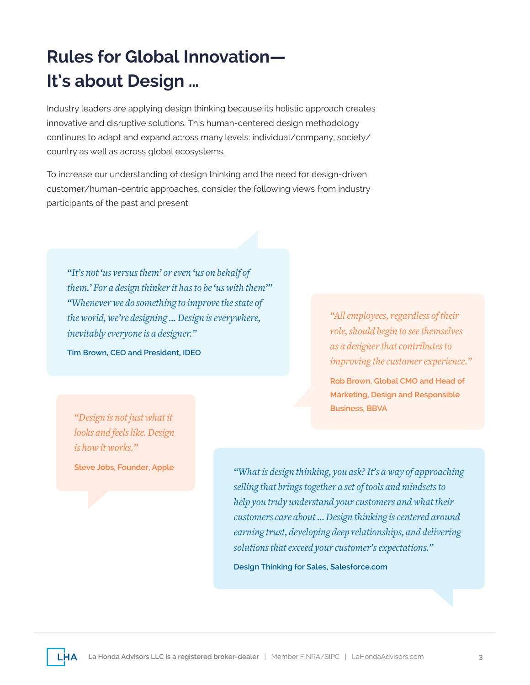## **Rules for Global Innovation— It's about Design …**

Industry leaders are applying design thinking because its holistic approach creates innovative and disruptive solutions. This human-centered design methodology continues to adapt and expand across many levels: individual/company, society/ country as well as across global ecosystems.

To increase our understanding of design thinking and the need for design-driven customer/human-centric approaches, consider the following views from industry participants of the past and present.

*"It's not 'us versus them' or even 'us on behalf of them.' For a design thinker it has to be 'us with them'" "Whenever we do something to improve the state of the world, we're designing … Design is everywhere, inevitably everyone is a designer."* 

**Tim Brown, CEO and President, IDEO**

*"All employees, regardless of their role, should begin to see themselves as a designer that contributes to improving the customer experience."* 

**Rob Brown, Global CMO and Head of Marketing, Design and Responsible Business, BBVA**

*"Design is not just what it looks and feels like. Design is how it works."* 

**Steve Jobs, Founder, Apple**

*"What is design thinking, you ask? It's a way of approaching selling that brings together a set of tools and mindsets to help you truly understand your customers and what their customers care about … Design thinking is centered around earning trust, developing deep relationships, and delivering solutions that exceed your customer's expectations."* 

**Design Thinking for Sales, Salesforce.com**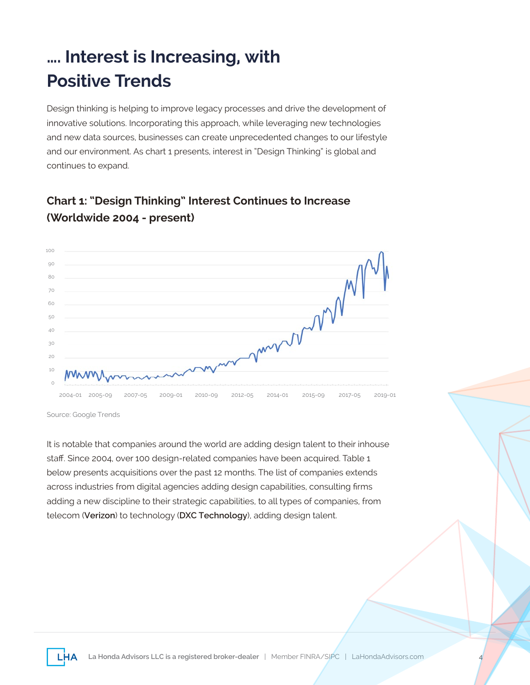## **…. Interest is Increasing, with Positive Trends**

Design thinking is helping to improve legacy processes and drive the development of innovative solutions. Incorporating this approach, while leveraging new technologies and new data sources, businesses can create unprecedented changes to our lifestyle and our environment. As chart 1 presents, interest in "Design Thinking" is global and continues to expand.

#### **Chart 1: "Design Thinking" Interest Continues to Increase (Worldwide 2004 - present)**



Source: Google Trends

It is notable that companies around the world are adding design talent to their inhouse staff. Since 2004, over 100 design-related companies have been acquired. Table 1 below presents acquisitions over the past 12 months. The list of companies extends across industries from digital agencies adding design capabilities, consulting firms adding a new discipline to their strategic capabilities, to all types of companies, from telecom (**Verizon**) to technology (**DXC Technology**), adding design talent.

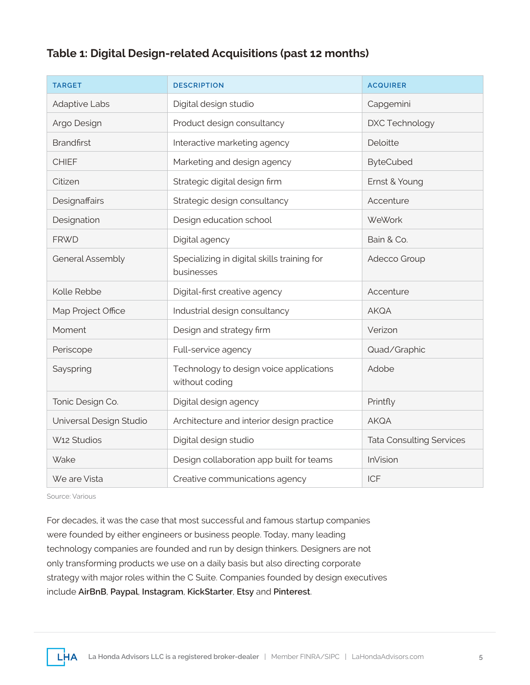#### **Table 1: Digital Design-related Acquisitions (past 12 months)**

| <b>TARGET</b>           | <b>DESCRIPTION</b>                                        | <b>ACQUIRER</b>                 |
|-------------------------|-----------------------------------------------------------|---------------------------------|
| <b>Adaptive Labs</b>    | Digital design studio                                     | Capgemini                       |
| Argo Design             | Product design consultancy                                | DXC Technology                  |
| <b>Brandfirst</b>       | Interactive marketing agency                              | Deloitte                        |
| <b>CHIEF</b>            | Marketing and design agency                               | <b>ByteCubed</b>                |
| Citizen                 | Strategic digital design firm                             | Ernst & Young                   |
| Designaffairs           | Strategic design consultancy                              | Accenture                       |
| Designation             | Design education school                                   | <b>WeWork</b>                   |
| <b>FRWD</b>             | Digital agency                                            | Bain & Co.                      |
| General Assembly        | Specializing in digital skills training for<br>businesses | Adecco Group                    |
| Kolle Rebbe             | Digital-first creative agency                             | Accenture                       |
| Map Project Office      | Industrial design consultancy                             | <b>AKQA</b>                     |
| Moment                  | Design and strategy firm                                  | Verizon                         |
| Periscope               | Full-service agency                                       | Quad/Graphic                    |
| Sayspring               | Technology to design voice applications<br>without coding | Adobe                           |
| Tonic Design Co.        | Digital design agency                                     | Printfly                        |
| Universal Design Studio | Architecture and interior design practice                 | <b>AKQA</b>                     |
| W <sub>12</sub> Studios | Digital design studio                                     | <b>Tata Consulting Services</b> |
| Wake                    | Design collaboration app built for teams                  | InVision                        |
| We are Vista            | Creative communications agency                            | <b>ICF</b>                      |

Source: Various

For decades, it was the case that most successful and famous startup companies were founded by either engineers or business people. Today, many leading technology companies are founded and run by design thinkers. Designers are not only transforming products we use on a daily basis but also directing corporate strategy with major roles within the C Suite. Companies founded by design executives include **AirBnB**, **Paypal**, **Instagram**, **KickStarter**, **Etsy** and **Pinterest**.

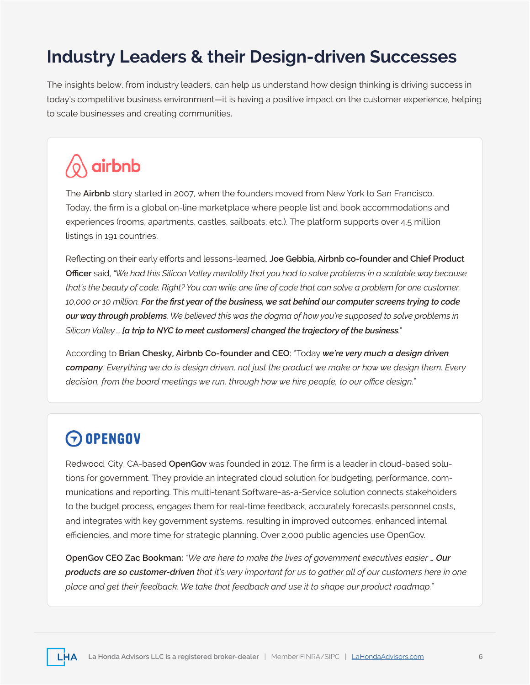#### **Industry Leaders & their Design-driven Successes**

The insights below, from industry leaders, can help us understand how design thinking is driving success in today's competitive business environment—it is having a positive impact on the customer experience, helping to scale businesses and creating communities.

# airbnb

The **Airbnb** story started in 2007, when the founders moved from New York to San Francisco. Today, the firm is a global on-line marketplace where people list and book accommodations and experiences (rooms, apartments, castles, sailboats, etc.). The platform supports over 4.5 million listings in 191 countries.

Reflecting on their early efforts and lessons-learned, **Joe Gebbia, Airbnb co-founder and Chief Product Officer** said, *"We had this Silicon Valley mentality that you had to solve problems in a scalable way because that's the beauty of code. Right? You can write one line of code that can solve a problem for one customer, 10,000 or 10 million. For the first year of the business, we sat behind our computer screens trying to code our way through problems. We believed this was the dogma of how you're supposed to solve problems in Silicon Valley … [a trip to NYC to meet customers] changed the trajectory of the business."*

According to **Brian Chesky, Airbnb Co-founder and CEO**: "Today *we're very much a design driven company. Everything we do is design driven, not just the product we make or how we design them. Every decision, from the board meetings we run, through how we hire people, to our office design."*

#### $\Theta$  OPENGOV

Redwood, City, CA-based **OpenGov** was founded in 2012. The firm is a leader in cloud-based solutions for government. They provide an integrated cloud solution for budgeting, performance, communications and reporting. This multi-tenant Software-as-a-Service solution connects stakeholders to the budget process, engages them for real-time feedback, accurately forecasts personnel costs, and integrates with key government systems, resulting in improved outcomes, enhanced internal efficiencies, and more time for strategic planning. Over 2,000 public agencies use OpenGov.

**OpenGov CEO Zac Bookman:** *"We are here to make the lives of government executives easier … Our products are so customer-driven that it's very important for us to gather all of our customers here in one place and get their feedback. We take that feedback and use it to shape our product roadmap."*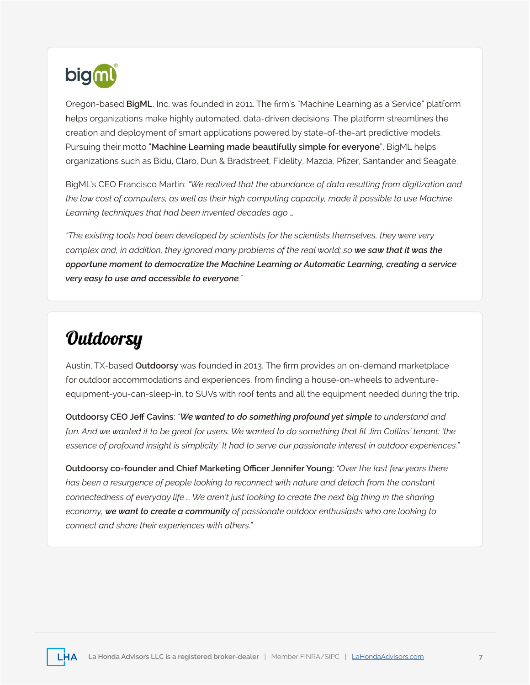

Oregon-based **BigML**, Inc. was founded in 2011. The firm's "Machine Learning as a Service" platform helps organizations make highly automated, data-driven decisions. The platform streamlines the creation and deployment of smart applications powered by state-of-the-art predictive models. Pursuing their motto "**Machine Learning made beautifully simple for everyone**", BigML helps organizations such as Bidu, Claro, Dun & Bradstreet, Fidelity, Mazda, Pfizer, Santander and Seagate.

BigML's CEO Francisco Martín: *"We realized that the abundance of data resulting from digitization and the low cost of computers, as well as their high computing capacity, made it possible to use Machine Learning techniques that had been invented decades ago …* 

*"The existing tools had been developed by scientists for the scientists themselves, they were very complex and, in addition, they ignored many problems of the real world; so we saw that it was the opportune moment to democratize the Machine Learning or Automatic Learning, creating a service very easy to use and accessible to everyone."*

## **Outdoorsy**

Austin, TX-based **Outdoorsy** was founded in 2013. The firm provides an on-demand marketplace for outdoor accommodations and experiences, from finding a house-on-wheels to adventureequipment-you-can-sleep-in, to SUVs with roof tents and all the equipment needed during the trip.

**Outdoorsy CEO Jeff Cavins**: *"We wanted to do something profound yet simple to understand and fun. And we wanted it to be great for users. We wanted to do something that fit Jim Collins' tenant: 'the essence of profound insight is simplicity.' It had to serve our passionate interest in outdoor experiences."*

**Outdoorsy co-founder and Chief Marketing Officer Jennifer Young:** *"Over the last few years there*  has been a resurgence of people looking to reconnect with nature and detach from the constant *connectedness of everyday life … We aren't just looking to create the next big thing in the sharing economy, we want to create a community of passionate outdoor enthusiasts who are looking to connect and share their experiences with others."*

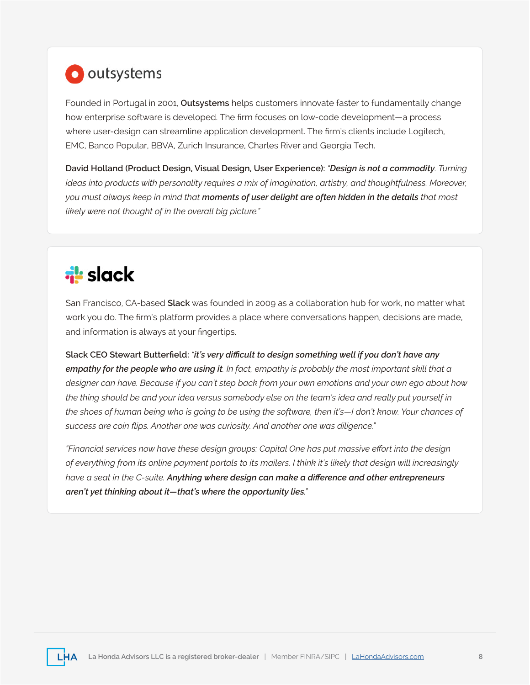## **O** outsystems

Founded in Portugal in 2001, **Outsystems** helps customers innovate faster to fundamentally change how enterprise software is developed. The firm focuses on low-code development—a process where user-design can streamline application development. The firm's clients include Logitech, EMC, Banco Popular, BBVA, Zurich Insurance, Charles River and Georgia Tech.

**David Holland (Product Design, Visual Design, User Experience):** *"Design is not a commodity. Turning ideas into products with personality requires a mix of imagination, artistry, and thoughtfulness. Moreover, you must always keep in mind that moments of user delight are often hidden in the details that most likely were not thought of in the overall big picture."*

# **i**slack

San Francisco, CA-based **Slack** was founded in 2009 as a collaboration hub for work, no matter what work you do. The firm's platform provides a place where conversations happen, decisions are made, and information is always at your fingertips.

**Slack CEO Stewart Butterfield:** *"it's very difficult to design something well if you don't have any empathy for the people who are using it. In fact, empathy is probably the most important skill that a designer can have. Because if you can't step back from your own emotions and your own ego about how the thing should be and your idea versus somebody else on the team's idea and really put yourself in the shoes of human being who is going to be using the software, then it's—I don't know. Your chances of success are coin flips. Another one was curiosity. And another one was diligence."*

*"Financial services now have these design groups: Capital One has put massive effort into the design of everything from its online payment portals to its mailers. I think it's likely that design will increasingly have a seat in the C-suite. Anything where design can make a difference and other entrepreneurs aren't yet thinking about it—that's where the opportunity lies."*